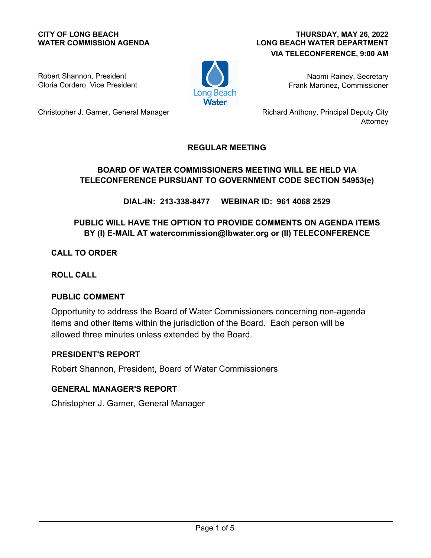#### **CITY OF LONG BEACH WATER COMMISSION AGENDA**

### **LONG BEACH WATER DEPARTMENT VIA TELECONFERENCE, 9:00 AM THURSDAY, MAY 26, 2022**

Robert Shannon, President Gloria Cordero, Vice President



Naomi Rainey, Secretary Frank Martinez, Commissioner

Christopher J. Garner, General Manager

Richard Anthony, Principal Deputy City Attorney

## **REGULAR MEETING**

## **BOARD OF WATER COMMISSIONERS MEETING WILL BE HELD VIA TELECONFERENCE PURSUANT TO GOVERNMENT CODE SECTION 54953(e)**

**DIAL-IN: 213-338-8477 WEBINAR ID: 961 4068 2529**

# **PUBLIC WILL HAVE THE OPTION TO PROVIDE COMMENTS ON AGENDA ITEMS BY (I) E-MAIL AT watercommission@lbwater.org or (II) TELECONFERENCE**

**CALL TO ORDER**

**ROLL CALL**

## **PUBLIC COMMENT**

Opportunity to address the Board of Water Commissioners concerning non-agenda items and other items within the jurisdiction of the Board. Each person will be allowed three minutes unless extended by the Board.

## **PRESIDENT'S REPORT**

Robert Shannon, President, Board of Water Commissioners

## **GENERAL MANAGER'S REPORT**

Christopher J. Garner, General Manager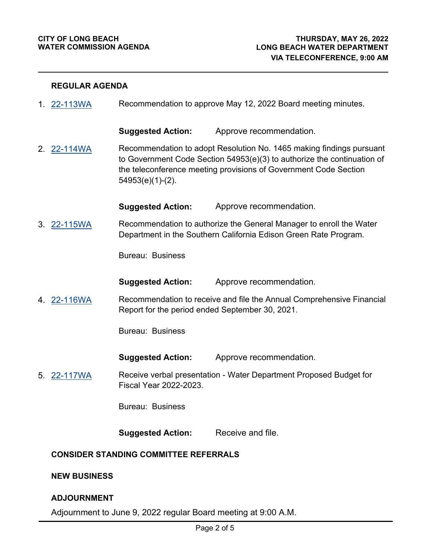#### **REGULAR AGENDA**

1. [22-113WA](http://longbeach.legistar.com/gateway.aspx?M=L&ID=239679) Recommendation to approve May 12, 2022 Board meeting minutes.

**Suggested Action:** Approve recommendation.

Recommendation to adopt Resolution No. 1465 making findings pursuant to Government Code Section 54953(e)(3) to authorize the continuation of the teleconference meeting provisions of Government Code Section 54953(e)(1)-(2). 2. [22-114WA](http://longbeach.legistar.com/gateway.aspx?M=L&ID=239680)

**Suggested Action:** Approve recommendation.

Recommendation to authorize the General Manager to enroll the Water Department in the Southern California Edison Green Rate Program. 3. [22-115WA](http://longbeach.legistar.com/gateway.aspx?M=L&ID=239681)

Bureau: Business

**Suggested Action:** Approve recommendation.

Recommendation to receive and file the Annual Comprehensive Financial Report for the period ended September 30, 2021. 4. [22-116WA](http://longbeach.legistar.com/gateway.aspx?M=L&ID=239682)

Bureau: Business

**Suggested Action:** Approve recommendation.

Receive verbal presentation - Water Department Proposed Budget for Fiscal Year 2022-2023. 5. [22-117WA](http://longbeach.legistar.com/gateway.aspx?M=L&ID=239683)

Bureau: Business

**Suggested Action:** Receive and file.

#### **CONSIDER STANDING COMMITTEE REFERRALS**

#### **NEW BUSINESS**

#### **ADJOURNMENT**

Adjournment to June 9, 2022 regular Board meeting at 9:00 A.M.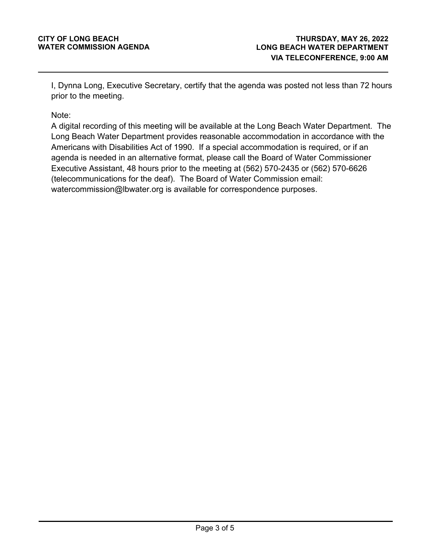I, Dynna Long, Executive Secretary, certify that the agenda was posted not less than 72 hours prior to the meeting.

Note:

A digital recording of this meeting will be available at the Long Beach Water Department. The Long Beach Water Department provides reasonable accommodation in accordance with the Americans with Disabilities Act of 1990. If a special accommodation is required, or if an agenda is needed in an alternative format, please call the Board of Water Commissioner Executive Assistant, 48 hours prior to the meeting at (562) 570-2435 or (562) 570-6626 (telecommunications for the deaf). The Board of Water Commission email: watercommission@lbwater.org is available for correspondence purposes.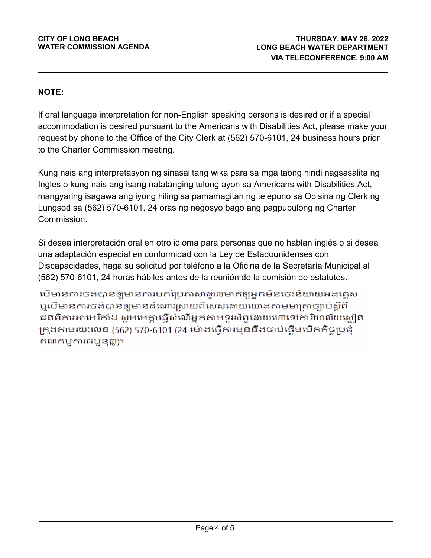# **NOTE:**

If oral language interpretation for non-English speaking persons is desired or if a special accommodation is desired pursuant to the Americans with Disabilities Act, please make your request by phone to the Office of the City Clerk at (562) 570-6101, 24 business hours prior to the Charter Commission meeting.

Kung nais ang interpretasyon ng sinasalitang wika para sa mga taong hindi nagsasalita ng Ingles o kung nais ang isang natatanging tulong ayon sa Americans with Disabilities Act, mangyaring isagawa ang iyong hiling sa pamamagitan ng telepono sa Opisina ng Clerk ng Lungsod sa (562) 570-6101, 24 oras ng negosyo bago ang pagpupulong ng Charter Commission.

Si desea interpretación oral en otro idioma para personas que no hablan inglés o si desea una adaptación especial en conformidad con la Ley de Estadounidenses con Discapacidades, haga su solicitud por teléfono a la Oficina de la Secretaría Municipal al (562) 570-6101, 24 horas hábiles antes de la reunión de la comisión de estatutos.

បើមានការចង់បានឲ្យមានការបកប្រែកាសាទ្វាល់មាត់ឲ្យអ្នកមិនចេះនិយាយអង់គ្លេស ឬបើមានការចង់បានឲ្យមានដំណោះស្រាយពិសេសដោយយោងតាមមាត្រាច្បាប់ស្តីពី ជនពិការអាមេរិកាំង សូមមេគ្នាធ្វើសំណើអ្នកតាមទូរស័ព្ទនោយហៅទៅការិយាល័យសៀន ក្រុងតាមរយៈលេខ (562) 570-6101 (24 ម៉ោងធ្វើការមុននឹងចាប់ផ្តើមបើកកិច្ចប្រជុំ គណកម្មការធម្មនុញ្ញ)។